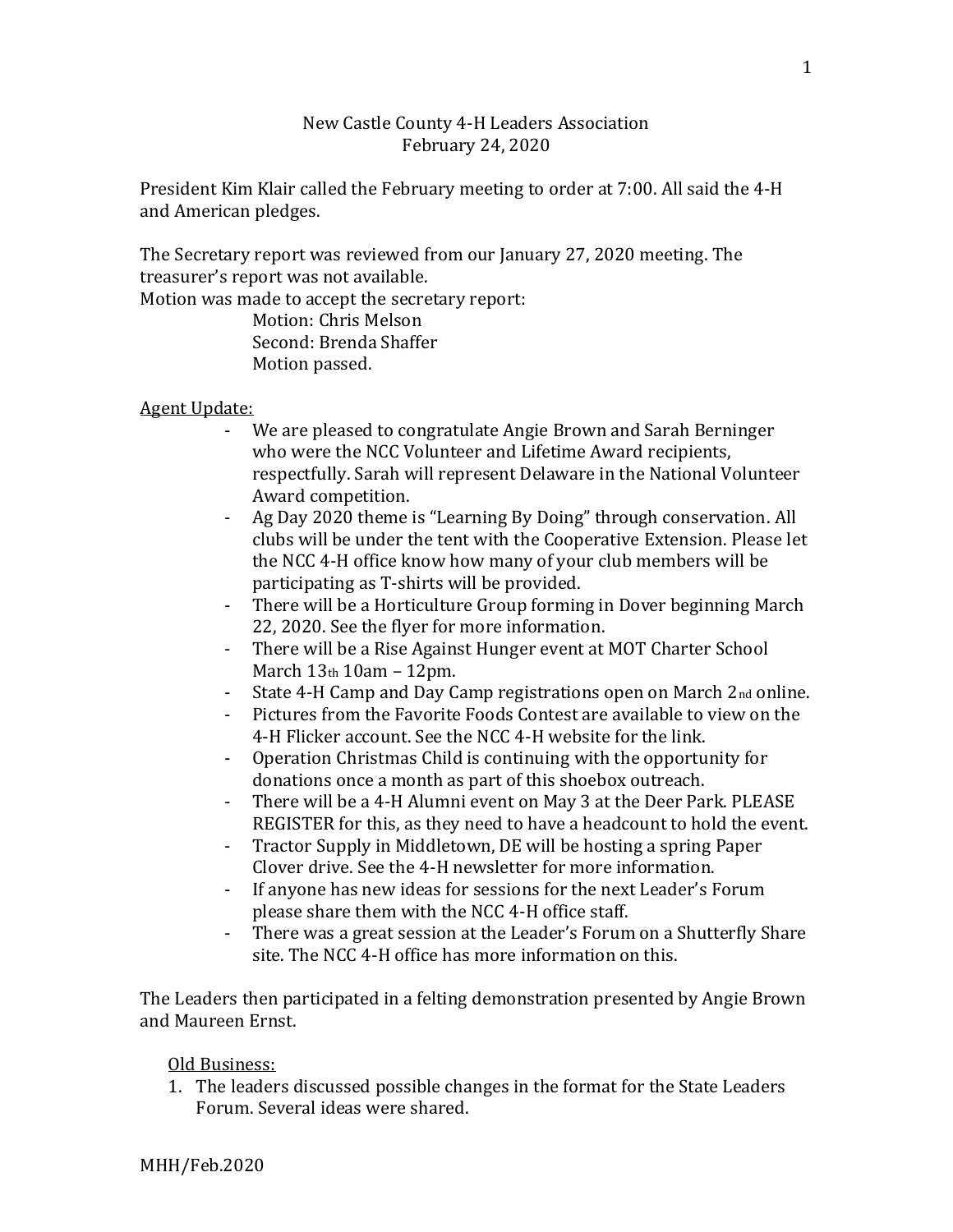## New Castle County 4-H Leaders Association February 24, 2020

President Kim Klair called the February meeting to order at 7:00. All said the 4-H and American pledges.

The Secretary report was reviewed from our January 27, 2020 meeting. The treasurer's report was not available.

Motion was made to accept the secretary report:

Motion: Chris Melson Second: Brenda Shaffer Motion passed.

Agent Update:

- We are pleased to congratulate Angie Brown and Sarah Berninger who were the NCC Volunteer and Lifetime Award recipients, respectfully. Sarah will represent Delaware in the National Volunteer Award competition.
- Ag Day 2020 theme is "Learning By Doing" through conservation. All clubs will be under the tent with the Cooperative Extension. Please let the NCC 4-H office know how many of your club members will be participating as T-shirts will be provided.
- There will be a Horticulture Group forming in Dover beginning March 22, 2020. See the flyer for more information.
- There will be a Rise Against Hunger event at MOT Charter School March 13th 10am – 12pm.
- State 4-H Camp and Day Camp registrations open on March 2<sub>nd</sub> online.
- Pictures from the Favorite Foods Contest are available to view on the 4-H Flicker account. See the NCC 4-H website for the link.
- Operation Christmas Child is continuing with the opportunity for donations once a month as part of this shoebox outreach.
- There will be a 4-H Alumni event on May 3 at the Deer Park. PLEASE REGISTER for this, as they need to have a headcount to hold the event.
- Tractor Supply in Middletown, DE will be hosting a spring Paper Clover drive. See the 4-H newsletter for more information.
- If anyone has new ideas for sessions for the next Leader's Forum please share them with the NCC 4-H office staff.
- There was a great session at the Leader's Forum on a Shutterfly Share site. The NCC 4-H office has more information on this.

The Leaders then participated in a felting demonstration presented by Angie Brown and Maureen Ernst.

Old Business:

1. The leaders discussed possible changes in the format for the State Leaders Forum. Several ideas were shared.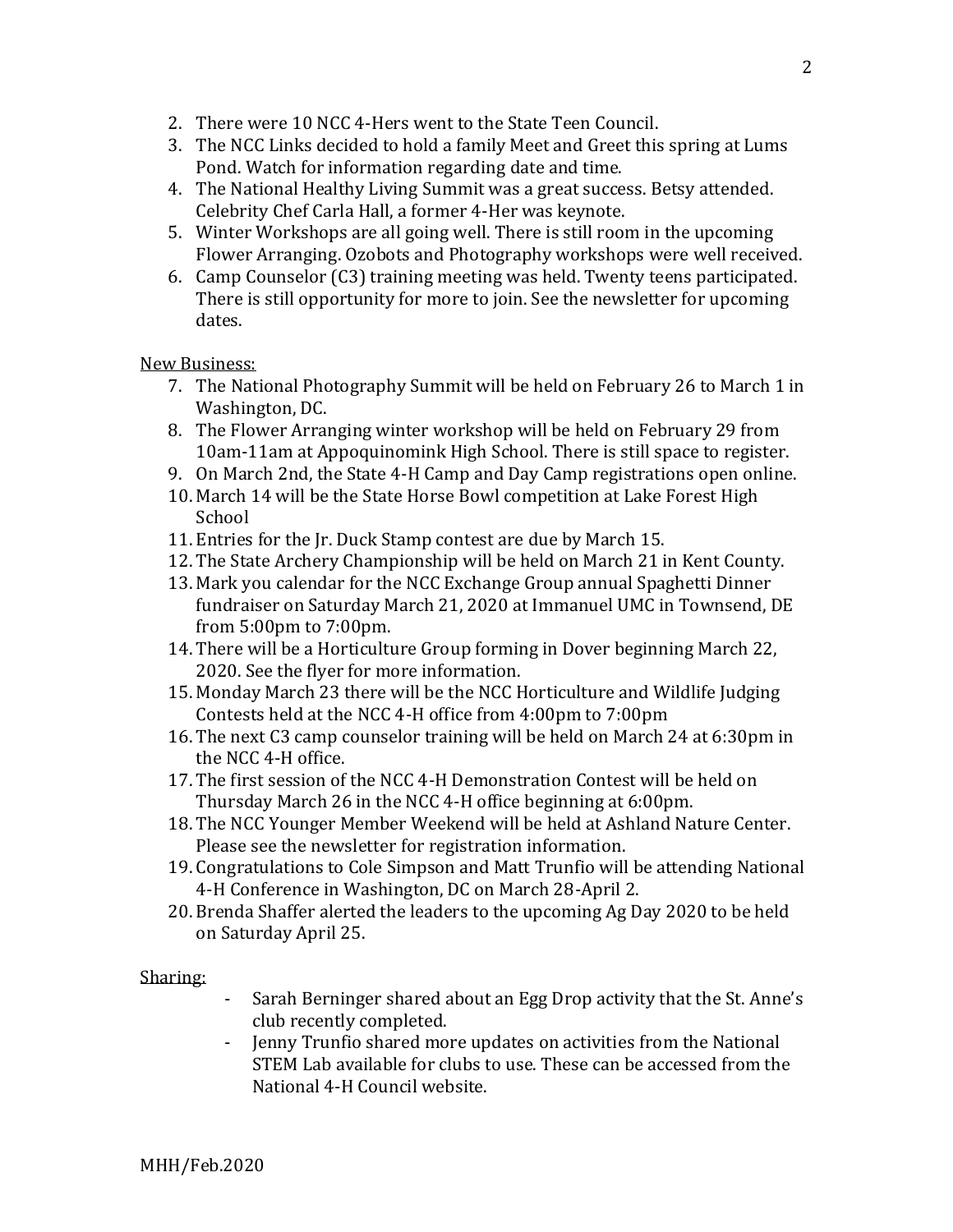- 2. There were 10 NCC 4-Hers went to the State Teen Council.
- 3. The NCC Links decided to hold a family Meet and Greet this spring at Lums Pond. Watch for information regarding date and time.
- 4. The National Healthy Living Summit was a great success. Betsy attended. Celebrity Chef Carla Hall, a former 4-Her was keynote.
- 5. Winter Workshops are all going well. There is still room in the upcoming Flower Arranging. Ozobots and Photography workshops were well received.
- 6. Camp Counselor (C3) training meeting was held. Twenty teens participated. There is still opportunity for more to join. See the newsletter for upcoming dates.

## New Business:

- 7. The National Photography Summit will be held on February 26 to March 1 in Washington, DC.
- 8. The Flower Arranging winter workshop will be held on February 29 from 10am-11am at Appoquinomink High School. There is still space to register.
- 9. On March 2nd, the State 4-H Camp and Day Camp registrations open online.
- 10. March 14 will be the State Horse Bowl competition at Lake Forest High School
- 11. Entries for the Jr. Duck Stamp contest are due by March 15.
- 12. The State Archery Championship will be held on March 21 in Kent County.
- 13. Mark you calendar for the NCC Exchange Group annual Spaghetti Dinner fundraiser on Saturday March 21, 2020 at Immanuel UMC in Townsend, DE from 5:00pm to 7:00pm.
- 14. There will be a Horticulture Group forming in Dover beginning March 22, 2020. See the flyer for more information.
- 15. Monday March 23 there will be the NCC Horticulture and Wildlife Judging Contests held at the NCC 4-H office from 4:00pm to 7:00pm
- 16. The next C3 camp counselor training will be held on March 24 at 6:30pm in the NCC 4-H office.
- 17. The first session of the NCC 4-H Demonstration Contest will be held on Thursday March 26 in the NCC 4-H office beginning at 6:00pm.
- 18. The NCC Younger Member Weekend will be held at Ashland Nature Center. Please see the newsletter for registration information.
- 19. Congratulations to Cole Simpson and Matt Trunfio will be attending National 4-H Conference in Washington, DC on March 28-April 2.
- 20. Brenda Shaffer alerted the leaders to the upcoming Ag Day 2020 to be held on Saturday April 25.

Sharing:

- Sarah Berninger shared about an Egg Drop activity that the St. Anne's club recently completed.
- Jenny Trunfio shared more updates on activities from the National STEM Lab available for clubs to use. These can be accessed from the National 4-H Council website.